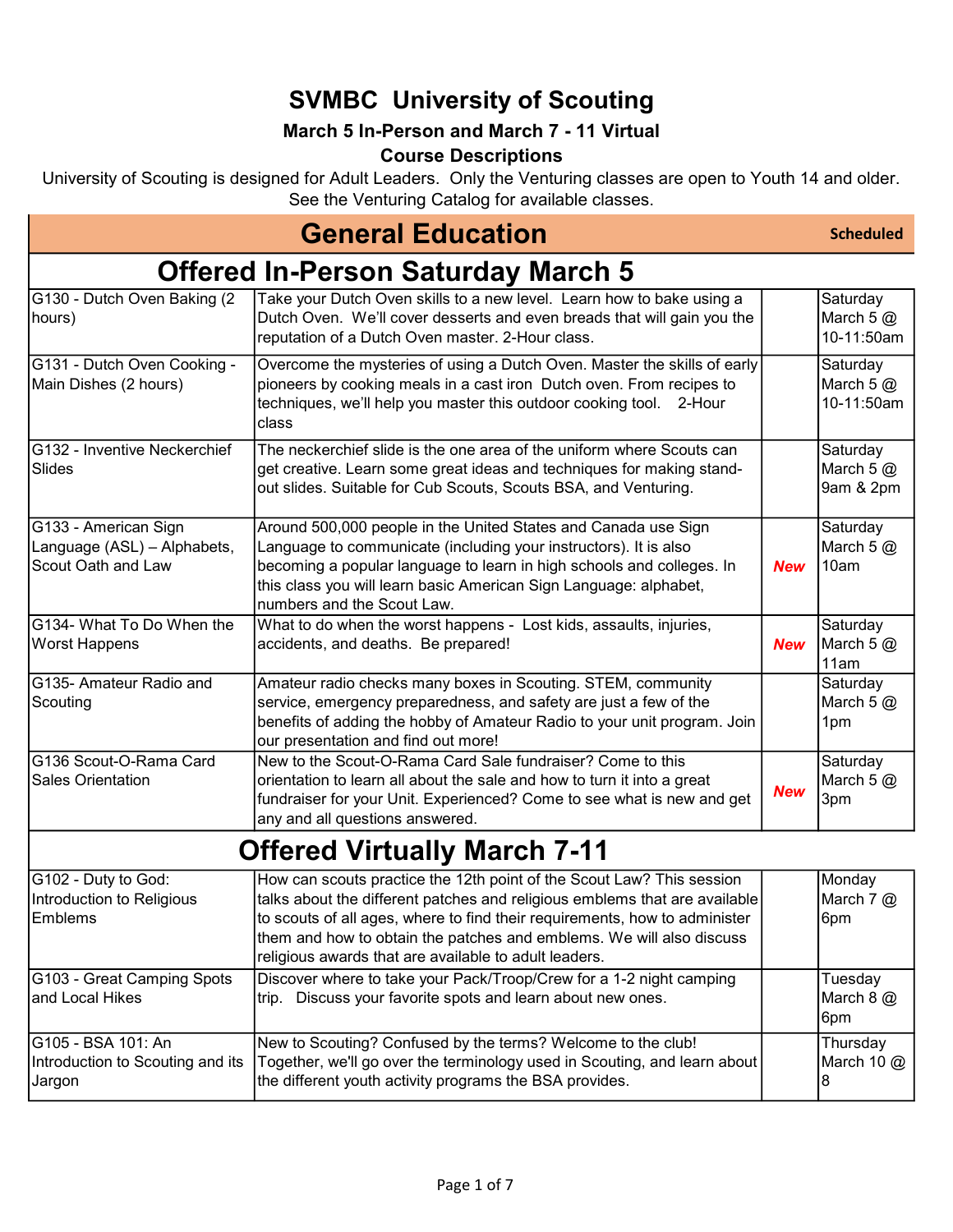### SVMBC University of Scouting

#### March 5 In-Person and March 7 - 11 Virtual

#### Course Descriptions

University of Scouting is designed for Adult Leaders. Only the Venturing classes are open to Youth 14 and older. See the Venturing Catalog for available classes.

### General Education

Scheduled

8

#### Offered In-Person Saturday March 5

| G130 - Dutch Oven Baking (2<br>hours)                                     | Take your Dutch Oven skills to a new level. Learn how to bake using a<br>Dutch Oven. We'll cover desserts and even breads that will gain you the<br>reputation of a Dutch Oven master. 2-Hour class.                                                                                                                                                               |            | Saturday<br>March $5@$<br>10-11:50am  |
|---------------------------------------------------------------------------|--------------------------------------------------------------------------------------------------------------------------------------------------------------------------------------------------------------------------------------------------------------------------------------------------------------------------------------------------------------------|------------|---------------------------------------|
| G131 - Dutch Oven Cooking -<br>Main Dishes (2 hours)                      | Overcome the mysteries of using a Dutch Oven. Master the skills of early<br>pioneers by cooking meals in a cast iron Dutch oven. From recipes to<br>techniques, we'll help you master this outdoor cooking tool. 2-Hour<br>class                                                                                                                                   |            | Saturday<br>March 5 $@$<br>10-11:50am |
| G132 - Inventive Neckerchief<br>Slides                                    | The neckerchief slide is the one area of the uniform where Scouts can<br>get creative. Learn some great ideas and techniques for making stand-<br>out slides. Suitable for Cub Scouts, Scouts BSA, and Venturing.                                                                                                                                                  |            | Saturday<br>March $5@$<br>9am & 2pm   |
| G133 - American Sign<br>Language (ASL) - Alphabets,<br>Scout Oath and Law | Around 500,000 people in the United States and Canada use Sign<br>Language to communicate (including your instructors). It is also<br>becoming a popular language to learn in high schools and colleges. In<br>this class you will learn basic American Sign Language: alphabet,<br>numbers and the Scout Law.                                                     | <b>New</b> | Saturday<br>March $5@$<br>10am        |
| G134- What To Do When the<br><b>Worst Happens</b>                         | What to do when the worst happens - Lost kids, assaults, injuries,<br>accidents, and deaths. Be prepared!                                                                                                                                                                                                                                                          | <b>New</b> | Saturday<br>March 5 @<br>11am         |
| G135- Amateur Radio and<br>Scouting                                       | Amateur radio checks many boxes in Scouting. STEM, community<br>service, emergency preparedness, and safety are just a few of the<br>benefits of adding the hobby of Amateur Radio to your unit program. Join<br>our presentation and find out more!                                                                                                               |            | Saturday<br>March $5@$<br>1pm         |
| G136 Scout-O-Rama Card<br><b>Sales Orientation</b>                        | New to the Scout-O-Rama Card Sale fundraiser? Come to this<br>orientation to learn all about the sale and how to turn it into a great<br>fundraiser for your Unit. Experienced? Come to see what is new and get<br>any and all questions answered.                                                                                                                 | <b>New</b> | Saturday<br>March 5 @<br>3pm          |
|                                                                           | <b>Offered Virtually March 7-11</b>                                                                                                                                                                                                                                                                                                                                |            |                                       |
| G102 - Duty to God:<br>Introduction to Religious<br>Emblems               | How can scouts practice the 12th point of the Scout Law? This session<br>talks about the different patches and religious emblems that are available<br>to scouts of all ages, where to find their requirements, how to administer<br>them and how to obtain the patches and emblems. We will also discuss<br>religious awards that are available to adult leaders. |            | Monday<br>March $7$ $@$<br>6pm        |
| G103 - Great Camping Spots<br>and Local Hikes                             | Discover where to take your Pack/Troop/Crew for a 1-2 night camping<br>trip. Discuss your favorite spots and learn about new ones.                                                                                                                                                                                                                                 |            | Tuesday<br>March 8 @<br>6pm           |
| G105 - BSA 101: An<br>Introduction to Scouting and its                    | New to Scouting? Confused by the terms? Welcome to the club!<br>Together, we'll go over the terminology used in Scouting, and learn about                                                                                                                                                                                                                          |            | Thursday<br>March 10 $@$              |

the different youth activity programs the BSA provides.

Jargon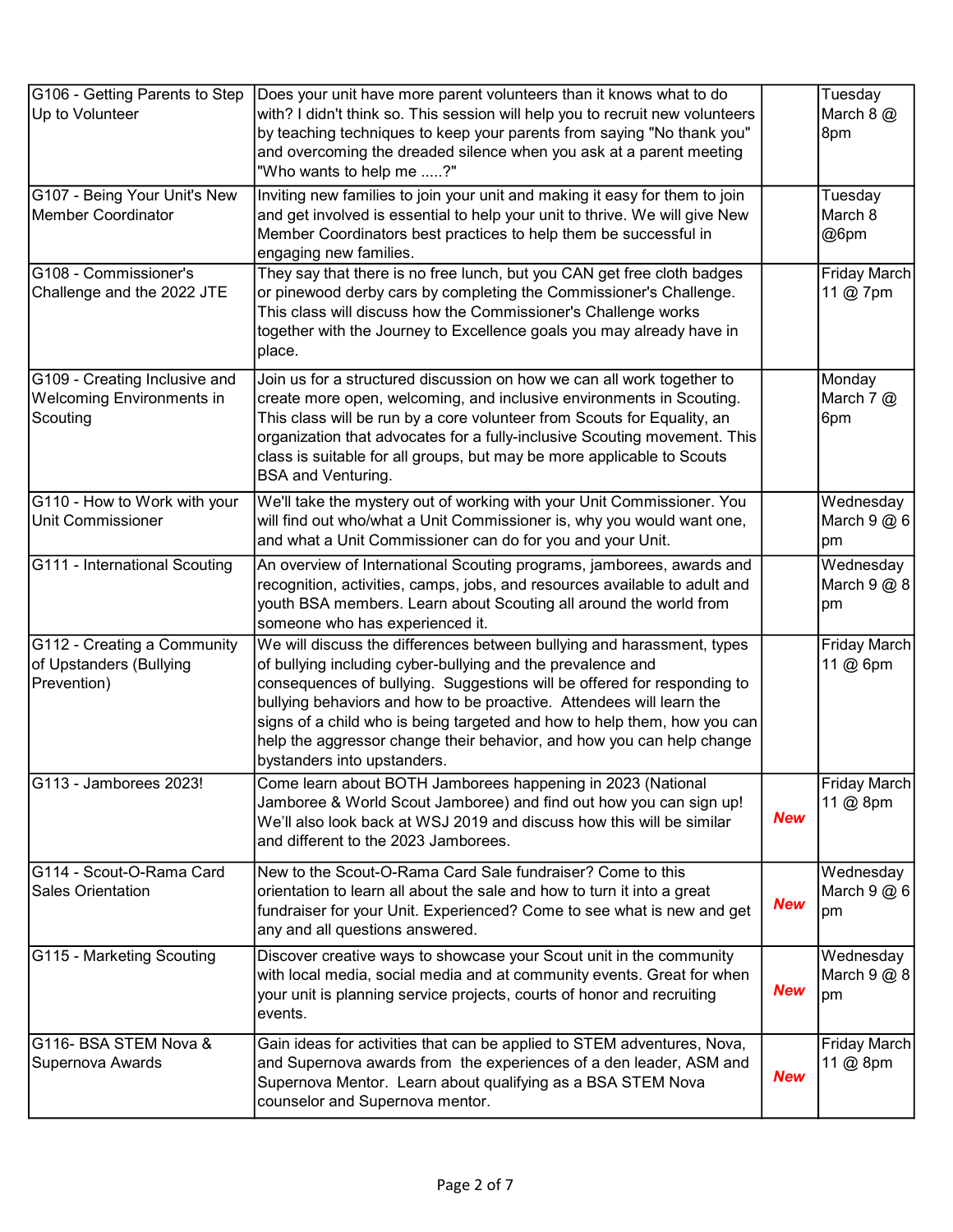| G106 - Getting Parents to Step<br>Up to Volunteer                             | Does your unit have more parent volunteers than it knows what to do<br>with? I didn't think so. This session will help you to recruit new volunteers<br>by teaching techniques to keep your parents from saying "No thank you"<br>and overcoming the dreaded silence when you ask at a parent meeting<br>"Who wants to help me ?"                                                                                                                                            |            | Tuesday<br>March 8 @<br>8pm         |
|-------------------------------------------------------------------------------|------------------------------------------------------------------------------------------------------------------------------------------------------------------------------------------------------------------------------------------------------------------------------------------------------------------------------------------------------------------------------------------------------------------------------------------------------------------------------|------------|-------------------------------------|
| G107 - Being Your Unit's New<br><b>Member Coordinator</b>                     | Inviting new families to join your unit and making it easy for them to join<br>and get involved is essential to help your unit to thrive. We will give New<br>Member Coordinators best practices to help them be successful in<br>engaging new families.                                                                                                                                                                                                                     |            | Tuesday<br>March 8<br>@6pm          |
| G108 - Commissioner's<br>Challenge and the 2022 JTE                           | They say that there is no free lunch, but you CAN get free cloth badges<br>or pinewood derby cars by completing the Commissioner's Challenge.<br>This class will discuss how the Commissioner's Challenge works<br>together with the Journey to Excellence goals you may already have in<br>place.                                                                                                                                                                           |            | Friday March<br>11 @ 7pm            |
| G109 - Creating Inclusive and<br><b>Welcoming Environments in</b><br>Scouting | Join us for a structured discussion on how we can all work together to<br>create more open, welcoming, and inclusive environments in Scouting.<br>This class will be run by a core volunteer from Scouts for Equality, an<br>organization that advocates for a fully-inclusive Scouting movement. This<br>class is suitable for all groups, but may be more applicable to Scouts<br><b>BSA and Venturing.</b>                                                                |            | Monday<br>March $7$ $\omega$<br>6pm |
| G110 - How to Work with your<br><b>Unit Commissioner</b>                      | We'll take the mystery out of working with your Unit Commissioner. You<br>will find out who/what a Unit Commissioner is, why you would want one,<br>and what a Unit Commissioner can do for you and your Unit.                                                                                                                                                                                                                                                               |            | Wednesday<br>March $9@6$<br>pm      |
| G111 - International Scouting                                                 | An overview of International Scouting programs, jamborees, awards and<br>recognition, activities, camps, jobs, and resources available to adult and<br>youth BSA members. Learn about Scouting all around the world from<br>someone who has experienced it.                                                                                                                                                                                                                  |            | Wednesday<br>March $9@8$<br>pm      |
| G112 - Creating a Community<br>of Upstanders (Bullying<br>Prevention)         | We will discuss the differences between bullying and harassment, types<br>of bullying including cyber-bullying and the prevalence and<br>consequences of bullying. Suggestions will be offered for responding to<br>bullying behaviors and how to be proactive. Attendees will learn the<br>signs of a child who is being targeted and how to help them, how you can<br>help the aggressor change their behavior, and how you can help change<br>bystanders into upstanders. |            | Friday March<br>11 @ 6pm            |
| G113 - Jamborees 2023!                                                        | Come learn about BOTH Jamborees happening in 2023 (National<br>Jamboree & World Scout Jamboree) and find out how you can sign up!<br>We'll also look back at WSJ 2019 and discuss how this will be similar<br>and different to the 2023 Jamborees.                                                                                                                                                                                                                           | <b>New</b> | Friday March<br>11 @ 8pm            |
| G114 - Scout-O-Rama Card<br><b>Sales Orientation</b>                          | New to the Scout-O-Rama Card Sale fundraiser? Come to this<br>orientation to learn all about the sale and how to turn it into a great<br>fundraiser for your Unit. Experienced? Come to see what is new and get<br>any and all questions answered.                                                                                                                                                                                                                           | <b>New</b> | Wednesday<br>March $9@6$<br>pm      |
| G115 - Marketing Scouting                                                     | Discover creative ways to showcase your Scout unit in the community<br>with local media, social media and at community events. Great for when<br>your unit is planning service projects, courts of honor and recruiting<br>events.                                                                                                                                                                                                                                           | <b>New</b> | Wednesday<br>March $9@8$<br>pm      |
| G116- BSA STEM Nova &<br>Supernova Awards                                     | Gain ideas for activities that can be applied to STEM adventures, Nova,<br>and Supernova awards from the experiences of a den leader, ASM and<br>Supernova Mentor. Learn about qualifying as a BSA STEM Nova<br>counselor and Supernova mentor.                                                                                                                                                                                                                              | <b>New</b> | Friday March<br>11 @ 8pm            |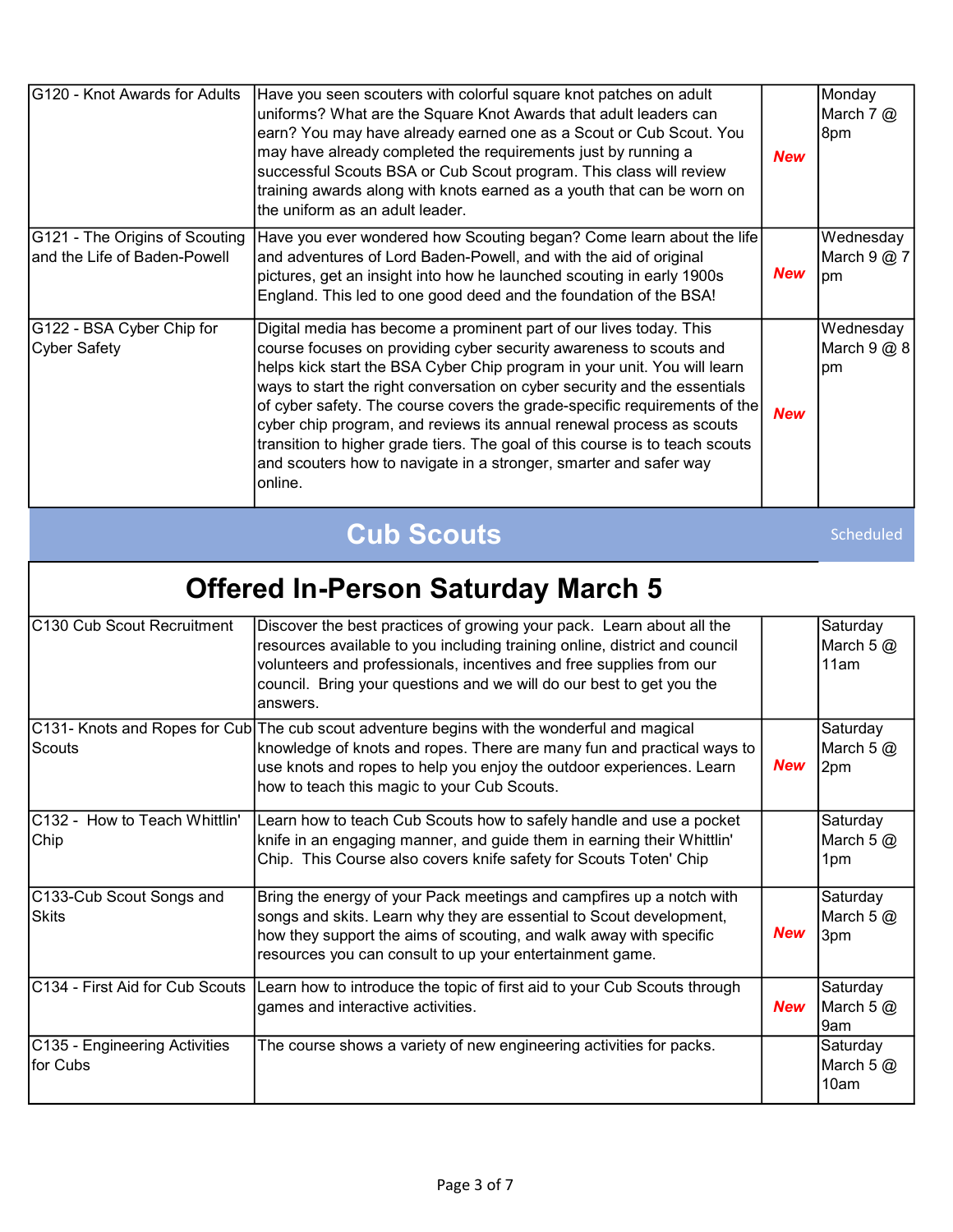| G120 - Knot Awards for Adults                                  | Have you seen scouters with colorful square knot patches on adult<br>uniforms? What are the Square Knot Awards that adult leaders can<br>earn? You may have already earned one as a Scout or Cub Scout. You<br>may have already completed the requirements just by running a<br>successful Scouts BSA or Cub Scout program. This class will review<br>training awards along with knots earned as a youth that can be worn on<br>the uniform as an adult leader.                                                                                                                                                        | <b>New</b> | Monday<br>March 7 @<br>8pm     |
|----------------------------------------------------------------|------------------------------------------------------------------------------------------------------------------------------------------------------------------------------------------------------------------------------------------------------------------------------------------------------------------------------------------------------------------------------------------------------------------------------------------------------------------------------------------------------------------------------------------------------------------------------------------------------------------------|------------|--------------------------------|
| G121 - The Origins of Scouting<br>and the Life of Baden-Powell | Have you ever wondered how Scouting began? Come learn about the life<br>and adventures of Lord Baden-Powell, and with the aid of original<br>pictures, get an insight into how he launched scouting in early 1900s<br>England. This led to one good deed and the foundation of the BSA!                                                                                                                                                                                                                                                                                                                                | <b>New</b> | Wednesday<br>March 9 @ 7<br>pm |
| G122 - BSA Cyber Chip for<br><b>Cyber Safety</b>               | Digital media has become a prominent part of our lives today. This<br>course focuses on providing cyber security awareness to scouts and<br>helps kick start the BSA Cyber Chip program in your unit. You will learn<br>ways to start the right conversation on cyber security and the essentials<br>of cyber safety. The course covers the grade-specific requirements of the<br>cyber chip program, and reviews its annual renewal process as scouts<br>transition to higher grade tiers. The goal of this course is to teach scouts<br>and scouters how to navigate in a stronger, smarter and safer way<br>online. | <b>New</b> | Wednesday<br>March 9 @ 8<br>pm |
|                                                                | <b>Cub Scouts</b>                                                                                                                                                                                                                                                                                                                                                                                                                                                                                                                                                                                                      |            | Scheduled                      |
|                                                                | <b>Offered In-Person Saturday March 5</b>                                                                                                                                                                                                                                                                                                                                                                                                                                                                                                                                                                              |            |                                |
| C130 Cub Scout Recruitment                                     | Discover the best practices of growing your pack. Learn about all the<br>resources available to you including training online, district and council<br>volunteers and professionals, incentives and free supplies from our<br>council. Bring your questions and we will do our best to get you the<br>answers.                                                                                                                                                                                                                                                                                                         |            | Saturday<br>March $5@$<br>11am |
| Scouts                                                         | C131- Knots and Ropes for Cub The cub scout adventure begins with the wonderful and magical<br>knowledge of knots and ropes. There are many fun and practical ways to<br>use knots and ropes to help you enjoy the outdoor experiences. Learn<br>how to teach this magic to your Cub Scouts.                                                                                                                                                                                                                                                                                                                           | <b>New</b> | Saturday<br>March 5 @<br>2pm   |
| C132 - How to Teach Whittlin'<br>Chip                          | Learn how to teach Cub Scouts how to safely handle and use a pocket<br>knife in an engaging manner, and guide them in earning their Whittlin'<br>Chip. This Course also covers knife safety for Scouts Toten' Chip                                                                                                                                                                                                                                                                                                                                                                                                     |            | Saturday<br>March $5@$<br>1pm  |
| C133-Cub Scout Songs and                                       |                                                                                                                                                                                                                                                                                                                                                                                                                                                                                                                                                                                                                        |            |                                |
| <b>Skits</b>                                                   | Bring the energy of your Pack meetings and campfires up a notch with<br>songs and skits. Learn why they are essential to Scout development,<br>how they support the aims of scouting, and walk away with specific<br>resources you can consult to up your entertainment game.                                                                                                                                                                                                                                                                                                                                          | <b>New</b> | Saturday<br>March 5 @<br>3pm   |
| C134 - First Aid for Cub Scouts                                | Learn how to introduce the topic of first aid to your Cub Scouts through<br>games and interactive activities.<br>The course shows a variety of new engineering activities for packs.                                                                                                                                                                                                                                                                                                                                                                                                                                   | <b>New</b> | Saturday<br>March $5@$<br>9am  |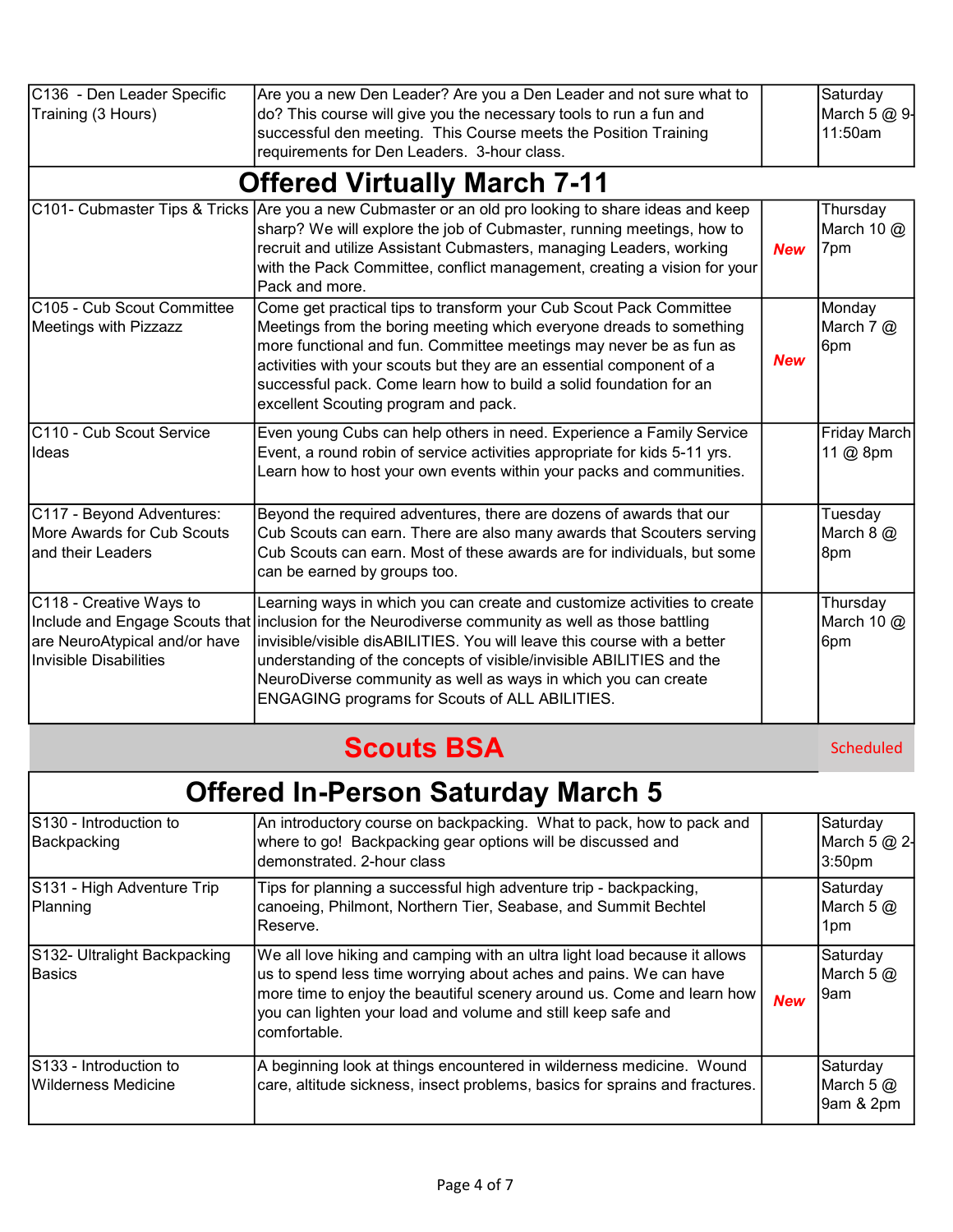| C136 - Den Leader Specific<br>Training (3 Hours)                                          | Are you a new Den Leader? Are you a Den Leader and not sure what to<br>do? This course will give you the necessary tools to run a fun and<br>successful den meeting. This Course meets the Position Training<br>requirements for Den Leaders. 3-hour class.                                                                                                                                                                                           |            | Saturday<br>March 5 @ 9-<br>11:50am |
|-------------------------------------------------------------------------------------------|-------------------------------------------------------------------------------------------------------------------------------------------------------------------------------------------------------------------------------------------------------------------------------------------------------------------------------------------------------------------------------------------------------------------------------------------------------|------------|-------------------------------------|
|                                                                                           | <b>Offered Virtually March 7-11</b>                                                                                                                                                                                                                                                                                                                                                                                                                   |            |                                     |
|                                                                                           | C101- Cubmaster Tips & Tricks Are you a new Cubmaster or an old pro looking to share ideas and keep<br>sharp? We will explore the job of Cubmaster, running meetings, how to<br>recruit and utilize Assistant Cubmasters, managing Leaders, working<br>with the Pack Committee, conflict management, creating a vision for your<br>Pack and more.                                                                                                     | <b>New</b> | Thursday<br>March 10 $@$<br>7pm     |
| C105 - Cub Scout Committee<br><b>Meetings with Pizzazz</b>                                | Come get practical tips to transform your Cub Scout Pack Committee<br>Meetings from the boring meeting which everyone dreads to something<br>more functional and fun. Committee meetings may never be as fun as<br>activities with your scouts but they are an essential component of a<br>successful pack. Come learn how to build a solid foundation for an<br>excellent Scouting program and pack.                                                 | <b>New</b> | Monday<br>March 7 @<br>6pm          |
| C110 - Cub Scout Service<br>Ideas                                                         | Even young Cubs can help others in need. Experience a Family Service<br>Event, a round robin of service activities appropriate for kids 5-11 yrs.<br>Learn how to host your own events within your packs and communities.                                                                                                                                                                                                                             |            | Friday March<br>11 @ 8pm            |
| C117 - Beyond Adventures:<br>More Awards for Cub Scouts<br>and their Leaders              | Beyond the required adventures, there are dozens of awards that our<br>Cub Scouts can earn. There are also many awards that Scouters serving<br>Cub Scouts can earn. Most of these awards are for individuals, but some<br>can be earned by groups too.                                                                                                                                                                                               |            | Tuesday<br>March $8$ $@$<br>8pm     |
| C118 - Creative Ways to<br>are NeuroAtypical and/or have<br><b>Invisible Disabilities</b> | Learning ways in which you can create and customize activities to create<br>Include and Engage Scouts that inclusion for the Neurodiverse community as well as those battling<br>invisible/visible disABILITIES. You will leave this course with a better<br>understanding of the concepts of visible/invisible ABILITIES and the<br>NeuroDiverse community as well as ways in which you can create<br>ENGAGING programs for Scouts of ALL ABILITIES. |            | Thursday<br>March 10 $@$<br>6pm     |

## Scouts BSA

Scheduled

# Offered In-Person Saturday March 5

| IS130 - Introduction to<br>Backpacking        | An introductory course on backpacking. What to pack, how to pack and<br>where to go! Backpacking gear options will be discussed and<br>demonstrated. 2-hour class                                                                                                                                         |            | Saturday<br>March 5 @ 2-<br>3:50pm   |
|-----------------------------------------------|-----------------------------------------------------------------------------------------------------------------------------------------------------------------------------------------------------------------------------------------------------------------------------------------------------------|------------|--------------------------------------|
| S131 - High Adventure Trip<br>Planning        | Tips for planning a successful high adventure trip - backpacking,<br>canoeing, Philmont, Northern Tier, Seabase, and Summit Bechtel<br>lReserve.                                                                                                                                                          |            | Saturday<br>March 5 $@$<br>1pm       |
| S132- Ultralight Backpacking<br>Basics        | We all love hiking and camping with an ultra light load because it allows<br>us to spend less time worrying about aches and pains. We can have<br>more time to enjoy the beautiful scenery around us. Come and learn how<br>you can lighten your load and volume and still keep safe and<br>lcomfortable. | <b>New</b> | Saturday<br>March 5 $@$<br>9am       |
| S133 - Introduction to<br>Wilderness Medicine | A beginning look at things encountered in wilderness medicine. Wound<br>care, altitude sickness, insect problems, basics for sprains and fractures.                                                                                                                                                       |            | Saturday<br>March 5 $@$<br>9am & 2pm |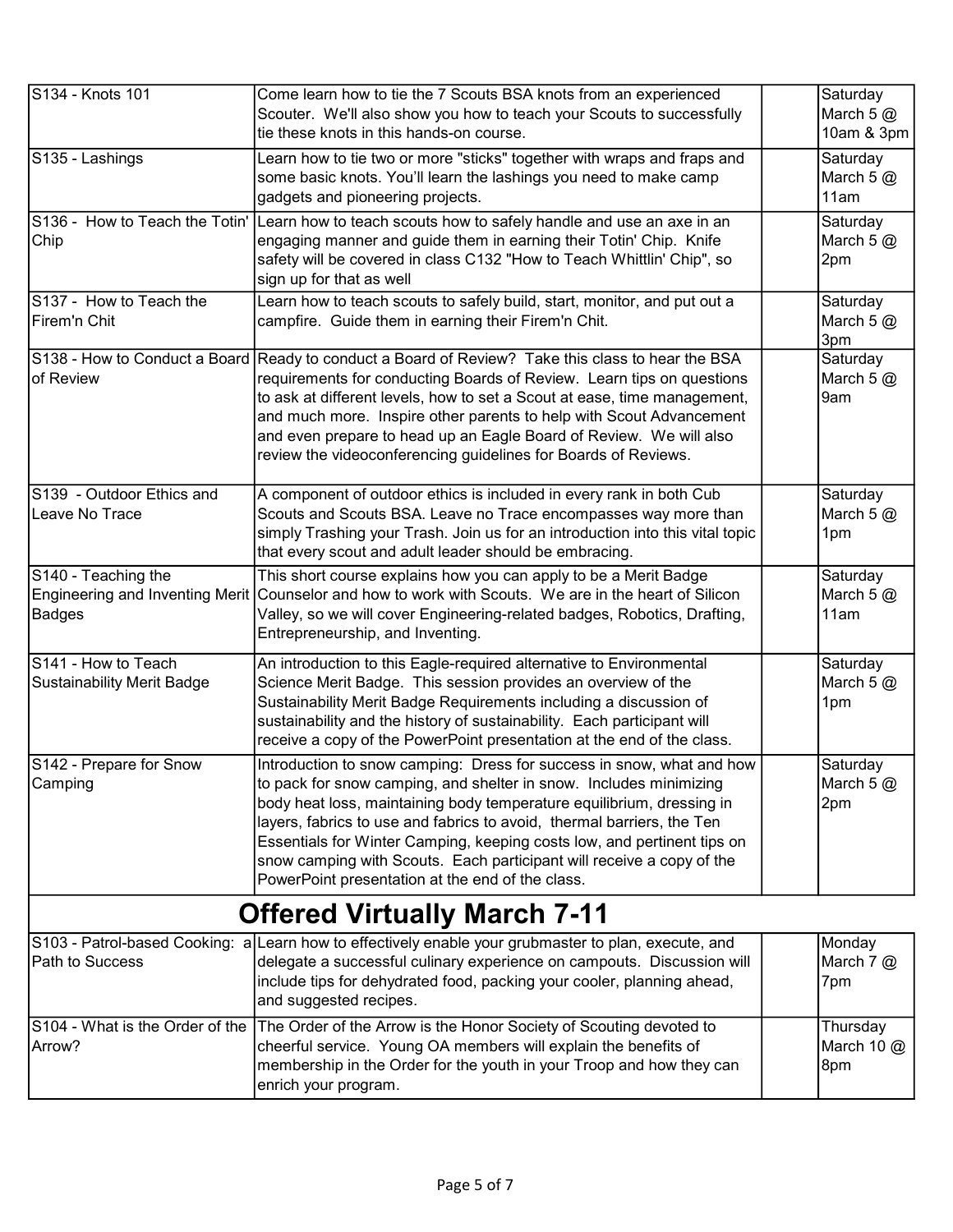| S134 - Knots 101                | Come learn how to tie the 7 Scouts BSA knots from an experienced                                                                            | Saturday     |
|---------------------------------|---------------------------------------------------------------------------------------------------------------------------------------------|--------------|
|                                 | Scouter. We'll also show you how to teach your Scouts to successfully                                                                       | March $5@$   |
|                                 | tie these knots in this hands-on course.                                                                                                    | 10am & 3pm   |
| S135 - Lashings                 |                                                                                                                                             | Saturday     |
|                                 | Learn how to tie two or more "sticks" together with wraps and fraps and                                                                     |              |
|                                 | some basic knots. You'll learn the lashings you need to make camp                                                                           | March $5@$   |
|                                 | gadgets and pioneering projects.                                                                                                            | 11am         |
|                                 | S136 - How to Teach the Totin' Learn how to teach scouts how to safely handle and use an axe in an                                          | Saturday     |
| Chip                            | engaging manner and guide them in earning their Totin' Chip. Knife                                                                          | March $5@$   |
|                                 | safety will be covered in class C132 "How to Teach Whittlin' Chip", so                                                                      | 2pm          |
|                                 | sign up for that as well                                                                                                                    |              |
| S137 - How to Teach the         | Learn how to teach scouts to safely build, start, monitor, and put out a                                                                    | Saturday     |
| Firem'n Chit                    | campfire. Guide them in earning their Firem'n Chit.                                                                                         | March $5@$   |
|                                 |                                                                                                                                             | 3pm          |
|                                 | S138 - How to Conduct a Board Ready to conduct a Board of Review? Take this class to hear the BSA                                           | Saturday     |
| of Review                       | requirements for conducting Boards of Review. Learn tips on questions                                                                       | March $5@$   |
|                                 | to ask at different levels, how to set a Scout at ease, time management,                                                                    | 9am          |
|                                 | and much more. Inspire other parents to help with Scout Advancement                                                                         |              |
|                                 | and even prepare to head up an Eagle Board of Review. We will also                                                                          |              |
|                                 | review the videoconferencing guidelines for Boards of Reviews.                                                                              |              |
|                                 |                                                                                                                                             |              |
| S139 - Outdoor Ethics and       | A component of outdoor ethics is included in every rank in both Cub                                                                         | Saturday     |
| Leave No Trace                  | Scouts and Scouts BSA. Leave no Trace encompasses way more than                                                                             | March $5@$   |
|                                 | simply Trashing your Trash. Join us for an introduction into this vital topic                                                               |              |
|                                 |                                                                                                                                             | 1pm          |
|                                 | that every scout and adult leader should be embracing.                                                                                      |              |
| S140 - Teaching the             | This short course explains how you can apply to be a Merit Badge                                                                            | Saturday     |
| Engineering and Inventing Merit | Counselor and how to work with Scouts. We are in the heart of Silicon                                                                       | March $5@$   |
| <b>Badges</b>                   | Valley, so we will cover Engineering-related badges, Robotics, Drafting,                                                                    | 11am         |
|                                 | Entrepreneurship, and Inventing.                                                                                                            |              |
| S141 - How to Teach             | An introduction to this Eagle-required alternative to Environmental                                                                         | Saturday     |
| Sustainability Merit Badge      | Science Merit Badge. This session provides an overview of the                                                                               | March 5 @    |
|                                 | Sustainability Merit Badge Requirements including a discussion of                                                                           | 1pm          |
|                                 | sustainability and the history of sustainability. Each participant will                                                                     |              |
|                                 | receive a copy of the PowerPoint presentation at the end of the class.                                                                      |              |
| S142 - Prepare for Snow         | Introduction to snow camping: Dress for success in snow, what and how                                                                       | Saturday     |
|                                 |                                                                                                                                             |              |
| Camping                         | to pack for snow camping, and shelter in snow. Includes minimizing<br>body heat loss, maintaining body temperature equilibrium, dressing in | March 5 $@$  |
|                                 | layers, fabrics to use and fabrics to avoid, thermal barriers, the Ten                                                                      | 2pm          |
|                                 |                                                                                                                                             |              |
|                                 | Essentials for Winter Camping, keeping costs low, and pertinent tips on                                                                     |              |
|                                 | snow camping with Scouts. Each participant will receive a copy of the                                                                       |              |
|                                 | PowerPoint presentation at the end of the class.                                                                                            |              |
|                                 | <b>Offered Virtually March 7-11</b>                                                                                                         |              |
|                                 | S103 - Patrol-based Cooking: a Learn how to effectively enable your grubmaster to plan, execute, and                                        | Monday       |
| Path to Success                 | delegate a successful culinary experience on campouts. Discussion will                                                                      | March 7 @    |
|                                 | include tips for dehydrated food, packing your cooler, planning ahead,                                                                      | 7pm          |
|                                 | and suggested recipes.                                                                                                                      |              |
| S104 - What is the Order of the | The Order of the Arrow is the Honor Society of Scouting devoted to                                                                          | Thursday     |
| Arrow?                          | cheerful service. Young OA members will explain the benefits of                                                                             | March 10 $@$ |
|                                 | membership in the Order for the youth in your Troop and how they can                                                                        | 8pm          |
|                                 | enrich your program.                                                                                                                        |              |
|                                 |                                                                                                                                             |              |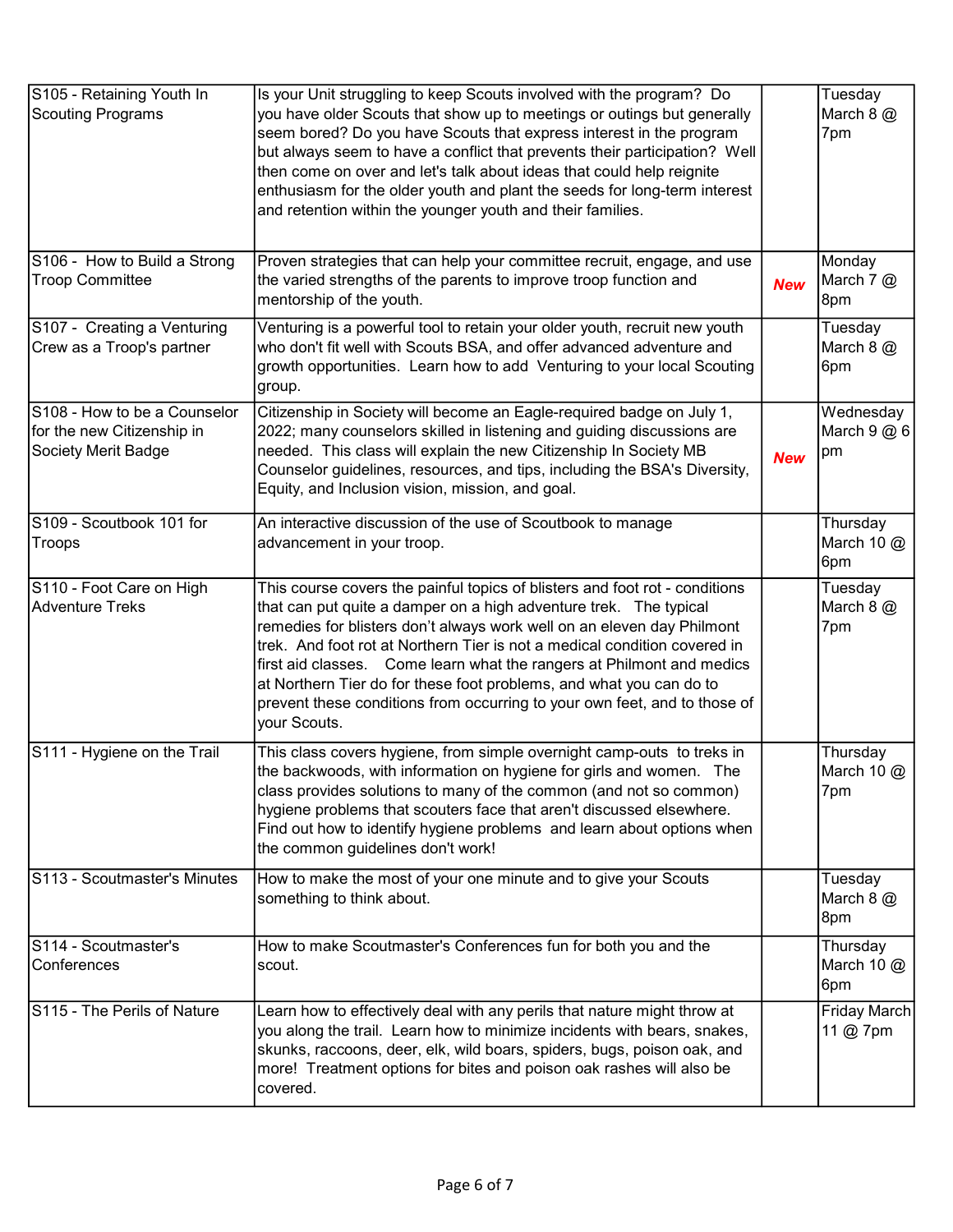| S105 - Retaining Youth In<br><b>Scouting Programs</b>                             | Is your Unit struggling to keep Scouts involved with the program? Do<br>you have older Scouts that show up to meetings or outings but generally<br>seem bored? Do you have Scouts that express interest in the program<br>but always seem to have a conflict that prevents their participation? Well<br>then come on over and let's talk about ideas that could help reignite<br>enthusiasm for the older youth and plant the seeds for long-term interest<br>and retention within the younger youth and their families.                             |            | Tuesday<br>March 8 @<br>7pm     |
|-----------------------------------------------------------------------------------|------------------------------------------------------------------------------------------------------------------------------------------------------------------------------------------------------------------------------------------------------------------------------------------------------------------------------------------------------------------------------------------------------------------------------------------------------------------------------------------------------------------------------------------------------|------------|---------------------------------|
| S106 - How to Build a Strong<br><b>Troop Committee</b>                            | Proven strategies that can help your committee recruit, engage, and use<br>the varied strengths of the parents to improve troop function and<br>mentorship of the youth.                                                                                                                                                                                                                                                                                                                                                                             | <b>New</b> | Monday<br>March 7 @<br>8pm      |
| S107 - Creating a Venturing<br>Crew as a Troop's partner                          | Venturing is a powerful tool to retain your older youth, recruit new youth<br>who don't fit well with Scouts BSA, and offer advanced adventure and<br>growth opportunities. Learn how to add Venturing to your local Scouting<br>group.                                                                                                                                                                                                                                                                                                              |            | Tuesday<br>March 8 @<br>6pm     |
| S108 - How to be a Counselor<br>for the new Citizenship in<br>Society Merit Badge | Citizenship in Society will become an Eagle-required badge on July 1,<br>2022; many counselors skilled in listening and guiding discussions are<br>needed. This class will explain the new Citizenship In Society MB<br>Counselor guidelines, resources, and tips, including the BSA's Diversity,<br>Equity, and Inclusion vision, mission, and goal.                                                                                                                                                                                                | <b>New</b> | Wednesday<br>March $9@6$<br>pm  |
| S109 - Scoutbook 101 for<br>Troops                                                | An interactive discussion of the use of Scoutbook to manage<br>advancement in your troop.                                                                                                                                                                                                                                                                                                                                                                                                                                                            |            | Thursday<br>March 10 @<br>6pm   |
| S110 - Foot Care on High<br><b>Adventure Treks</b>                                | This course covers the painful topics of blisters and foot rot - conditions<br>that can put quite a damper on a high adventure trek. The typical<br>remedies for blisters don't always work well on an eleven day Philmont<br>trek. And foot rot at Northern Tier is not a medical condition covered in<br>first aid classes. Come learn what the rangers at Philmont and medics<br>at Northern Tier do for these foot problems, and what you can do to<br>prevent these conditions from occurring to your own feet, and to those of<br>your Scouts. |            | Tuesday<br>March 8 @<br>7pm     |
| S111 - Hygiene on the Trail                                                       | This class covers hygiene, from simple overnight camp-outs to treks in<br>the backwoods, with information on hygiene for girls and women. The<br>class provides solutions to many of the common (and not so common)<br>hygiene problems that scouters face that aren't discussed elsewhere.<br>Find out how to identify hygiene problems and learn about options when<br>the common guidelines don't work!                                                                                                                                           |            | Thursday<br>March 10 @<br>7pm   |
| S113 - Scoutmaster's Minutes                                                      | How to make the most of your one minute and to give your Scouts<br>something to think about.                                                                                                                                                                                                                                                                                                                                                                                                                                                         |            | Tuesday<br>March 8 @<br>8pm     |
| S114 - Scoutmaster's<br>Conferences                                               | How to make Scoutmaster's Conferences fun for both you and the<br>scout.                                                                                                                                                                                                                                                                                                                                                                                                                                                                             |            | Thursday<br>March 10 $@$<br>6pm |
| S115 - The Perils of Nature                                                       | Learn how to effectively deal with any perils that nature might throw at<br>you along the trail. Learn how to minimize incidents with bears, snakes,<br>skunks, raccoons, deer, elk, wild boars, spiders, bugs, poison oak, and<br>more! Treatment options for bites and poison oak rashes will also be<br>covered.                                                                                                                                                                                                                                  |            | <b>Friday March</b><br>11 @ 7pm |